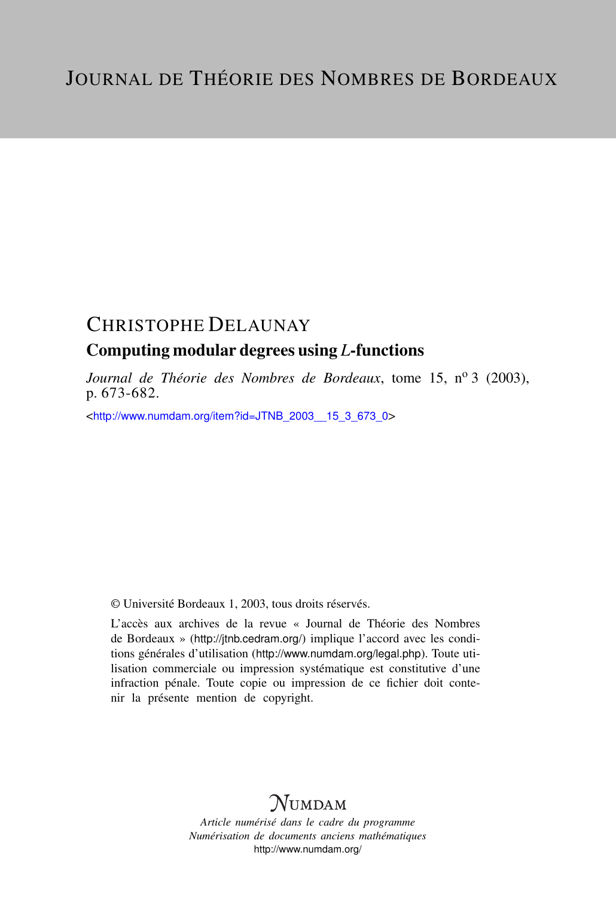# CHRISTOPHE DELAUNAY

# Computing modular degrees using *L*-functions

*Journal de Théorie des Nombres de Bordeaux*, tome 15, nº 3 (2003), p. 673-682.

<[http://www.numdam.org/item?id=JTNB\\_2003\\_\\_15\\_3\\_673\\_0](http://www.numdam.org/item?id=JTNB_2003__15_3_673_0)>

© Université Bordeaux 1, 2003, tous droits réservés.

L'accès aux archives de la revue « Journal de Théorie des Nombres de Bordeaux » (<http://jtnb.cedram.org/>) implique l'accord avec les conditions générales d'utilisation (<http://www.numdam.org/legal.php>). Toute utilisation commerciale ou impression systématique est constitutive d'une infraction pénale. Toute copie ou impression de ce fichier doit contenir la présente mention de copyright.

# **NUMDAM**

*Article numérisé dans le cadre du programme Numérisation de documents anciens mathématiques* <http://www.numdam.org/>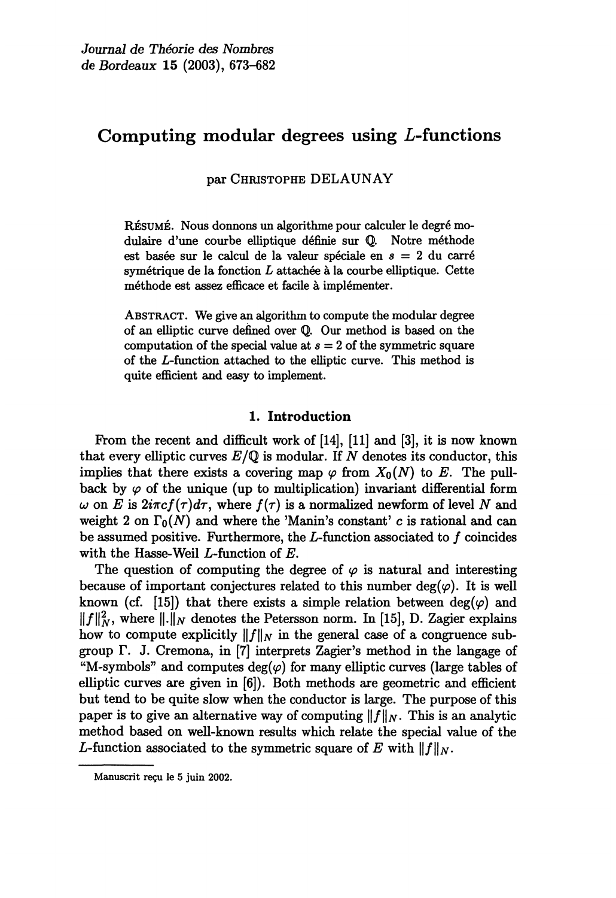# Computing modular degrees using L-functions

par CHRISTOPHE DELAUNAY

RÉSUMÉ. Nous donnons un algorithme pour calculer le degré modulaire d'une courbe elliptique définie sur Q. Notre méthode est basée sur le calcul de la valeur spéciale en s = 2 du carré symétrique de la fonction L attachée à la courbe elliptique. Cette méthode est assez efficace et facile à implémenter.

ABSTRACT. We give an algorithm to compute the modular degree of an elliptic curve defined over Q. Our method is based on the computation of the special value at  $s = 2$  of the symmetric square of the L-function attached to the elliptic curve. This method is quite efficient and easy to implement.

### 1. Introduction

From the recent and difficult work of [14], [11] and [3], it is now known that every elliptic curves  $E/\mathbb{Q}$  is modular. If N denotes its conductor, this implies that there exists a covering map  $\varphi$  from  $X_0(N)$  to E. The pullback by  $\varphi$  of the unique (up to multiplication) invariant differential form  $\omega$  on E is  $2i\pi cf(\tau)d\tau$ , where  $f(\tau)$  is a normalized newform of level N and weight 2 on  $\Gamma_0(N)$  and where the 'Manin's constant' c is rational and can be assumed positive. Furthermore, the  $L$ -function associated to  $f$  coincides with the Hasse-Weil L-function of E.

The question of computing the degree of  $\varphi$  is natural and interesting because of important conjectures related to this number deg( $\varphi$ ). It is well known (cf. [15]) that there exists a simple relation between  $deg(\varphi)$  and  $||f||_N^2$ , where  $||.||_N$  denotes the Petersson norm. In [15], D. Zagier explains how to compute explicitly  $||f||_N$  in the general case of a congruence subgroup  $\Gamma$ . J. Cremona, in [7] interprets Zagier's method in the langage of "M-symbols" and computes  $deg(\varphi)$  for many elliptic curves (large tables of elliptic curves are given in [6]). Both methods are geometric and efficient but tend to be quite slow when the conductor is large. The purpose of this paper is to give an alternative way of computing  $||f||_N$ . This is an analytic method based on well-known results which relate the special value of the L-function associated to the symmetric square of E with  $||f||_N$ .

Manuscrit reçu le 5 juin 2002.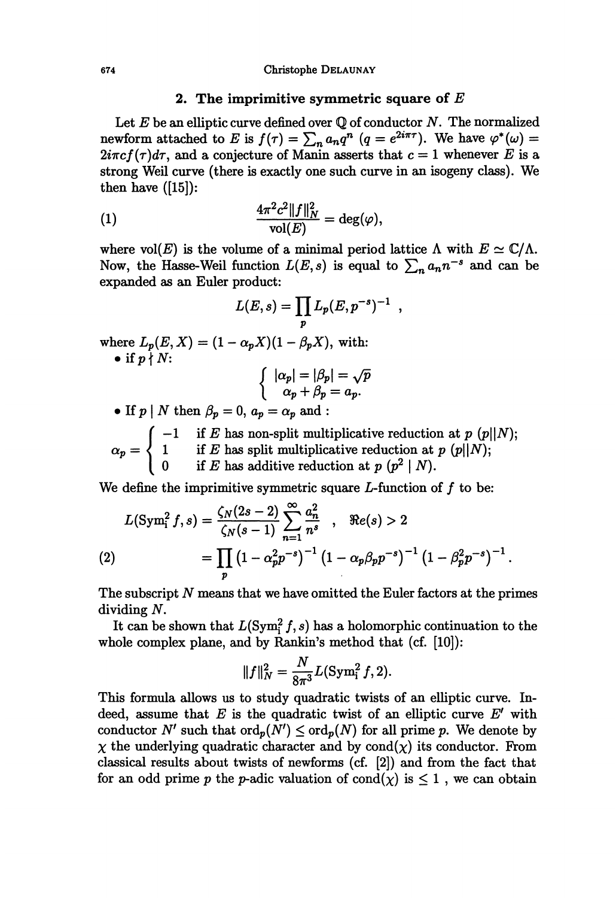#### 2. The imprimitive symmetric square of  $E$

Let  $E$  be an elliptic curve defined over  $\mathbb Q$  of conductor  $N$ . The normalized newform attached to E is  $f(\tau) = \sum_n a_n q^n$   $(q = e^{2i\pi\tau})$ . We have  $\varphi^*(\omega) =$  $2i\pi c f(\tau)d\tau$ , and a conjecture of Manin asserts that  $c = 1$  whenever E is a strong Weil curve (there is exactly one such curve in an isogeny class). We then have  $([15])$ :

(1) 
$$
\frac{4\pi^2 c^2 \|f\|_N^2}{\text{vol}(E)} = \deg(\varphi),
$$

where vol(E) is the volume of a minimal period lattice  $\Lambda$  with  $E \simeq \mathbb{C}/\Lambda$ . Now, the Hasse-Weil function  $L(E, s)$  is equal to  $\sum_n a_n n^{-s}$  and can be expanded as an Euler product:

$$
L(E,s) = \prod_p L_p(E,p^{-s})^{-1} ,
$$

where  $L_p(E, X) = (1 - \alpha_p X)(1 - \beta_p X)$ , with: • if  $p \nmid N$ :

$$
\left\{\begin{array}{c}|\alpha_p| = |\beta_p| = \sqrt{p}\\ \alpha_p + \beta_p = a_p.\end{array}\right.
$$

• If  $p \mid N$  then  $\beta_p = 0$ ,  $a_p = \alpha_p$  and :

 $\int$  -1 if E has non-split multiplicative reduction at p  $\alpha_p = \begin{cases} 1 & \text{if } E \text{ has split multiplicative reduction at } p \ 0 & \text{if } E \text{ has additive reduction at } p (p^2 | N). \end{cases}$ 

We define the imprimitive symmetric square  $L$ -function of  $f$  to be:

$$
L(Sym_i^2 f, s) = \frac{\zeta_N(2s-2)}{\zeta_N(s-1)} \sum_{n=1}^{\infty} \frac{a_n^2}{n^s} , \quad \Re e(s) > 2
$$
  
(2) 
$$
= \prod_p (1 - \alpha_p^2 p^{-s})^{-1} (1 - \alpha_p \beta_p p^{-s})^{-1} (1 - \beta_p^2 p^{-s})^{-1}.
$$

The subscript  $N$  means that we have omitted the Euler factors at the primes dividing N.

It can be shown that  $L(Sym_i^2 f, s)$  has a holomorphic continuation to the whole complex plane, and by Rankin's method that (cf. [10]):

$$
||f||_N^2 = \frac{N}{8\pi^3} L(\text{Sym}_1^2 f, 2).
$$

This formula allows us to study quadratic twists of an elliptic curve. Indeed, assume that  $E$  is the quadratic twist of an elliptic curve  $E'$  with conductor N' such that  $\text{ord}_p(N') \leq \text{ord}_p(N)$  for all prime p. We denote by  $\chi$  the underlying quadratic character and by cond $(\chi)$  its conductor. From classical results about twists of newforms (cf. [2]) and from the fact that for an odd prime p the p-adic valuation of  $\text{cond}(\chi)$  is  $\leq 1$ , we can obtain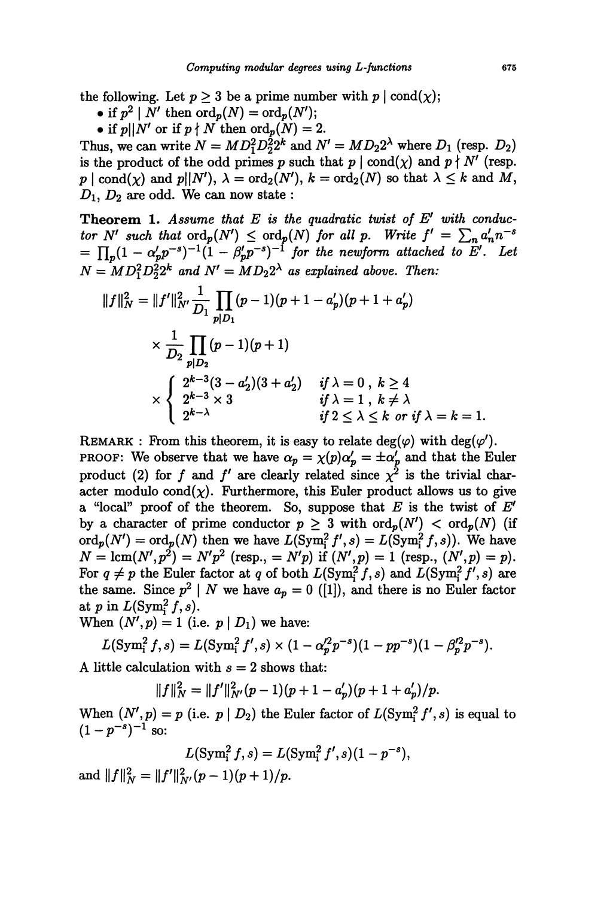the following. Let  $p \ge 3$  be a prime number with  $p \mid \text{cond}(\chi)$ ;<br>
• if  $p^2 \mid N'$  then  $\text{ord}_p(N) = \text{ord}_p(N')$ ;

- 
- 

• if  $p||N'$  or if  $p \nmid N$  then  $\text{ord}_p(N) = 2$ .<br>Thus, we can write  $N = MD_1^2D_2^22^k$  and  $N' = MD_22^{\lambda}$  where  $D_1$  (resp.  $D_2$ ) is the product of the odd primes p such that  $p \mid \text{cond}(\chi)$  and  $p \nmid N'$  (resp.  $p \mid \text{cond}(\chi)$  and  $p||N'$ ,  $\lambda = \text{ord}_2(N')$ ,  $k = \text{ord}_2(N)$  so that  $\lambda \leq k$  and M,  $D_1, D_2$  are odd. We can now state :

**Theorem 1.** Assume that  $E$  is the quadratic twist of  $E'$  with conductor N' such that  $\text{ord}_p(N') \le \text{ord}_p(N)$  for all p. Write  $f' = \sum_n a'_n n^{-s} = \prod_p (1 - \alpha'_p p^{-s})^{-1} (1 - \beta'_p p^{-s})^{-1}$  for the newform attached to E'. Let  $N = MD_1^2D_2^22^k$  and  $N' = MD_2^2$  as explained above. Then:

$$
||f||_N^2 = ||f'||_{N'}^2 \frac{1}{D_1} \prod_{p|D_1} (p-1)(p+1-a'_p)(p+1+a'_p)
$$
  
\$\times \frac{1}{D\_2} \prod\_{p|D\_2} (p-1)(p+1)\$  
\$\times \begin{cases} 2^{k-3}(3-a'\_2)(3+a'\_2) & if \lambda = 0 \text{ , } k \ge 4\\ 2^{k-3} \times 3 & if \lambda = 1 \text{ , } k \ne \lambda\\ 2^{k-\lambda} & if 2 \le \lambda \le k \text{ or if } \lambda = k = 1. \end{cases}

REMARK : From this theorem, it is easy to relate deg( $\varphi$ ) with deg( $\varphi'$ ). PROOF: We observe that we have  $\alpha_p = \chi(p)\alpha'_p = \pm \alpha'_p$  and that the Euler product (2) for f and f' are clearly related since  $\chi^2$  is the trivial character modulo cond $(\chi)$ . Furthermore, this Euler product allows us to give a "local" proof of the theorem. So, suppose that E is the twist of  $E'$ by a character of prime conductor  $p \geq 3$  with  $\text{ord}_p(N') < \text{ord}_p(N)$  (if  $\text{ord}_p(N') = \text{ord}_p(N)$  then we have  $L(\text{Sym}_1^2 f', s) = L(\text{Sym}_1^2 f, s)$ . We have  $N = \text{lcm}(N', p^2) = N'p^2$  (resp.,  $= N'p$ ) if  $(N', p) = 1$  (resp.,  $(N', p) = p$ ). For  $q \neq p$  the Euler factor at q of both  $L(\text{Sym}_1^2 f, s)$  and  $L(\text{Sym}_1^2 f', s)$  are the same. Since  $p^2 \mid N$  we have  $a_p = 0$  ([1]), and there is no Euler factor at p in  $L(Sym_i^2 f, s)$ .

When  $(N', p) = 1$  (i.e.  $p | D_1$ ) we have:

$$
L(\mathrm{Sym}_i^2 f, s) = L(\mathrm{Sym}_i^2 f', s) \times (1 - \alpha_p'^2 p^{-s})(1 - p p^{-s})(1 - \beta_p'^2 p^{-s}).
$$

A little calculation with  $s = 2$  shows that:

 $||f||_N^2 = ||f'||_{N'}^2(p-1)(p+1-a'_n)(p+1+a'_n)/p.$ 

When  $(N', p) = p$  (i.e.  $p | D_2$ ) the Euler factor of  $L(Sym<sub>i</sub><sup>2</sup> f', s)$  is equal to  $(1-p^{-s})^{-1}$  so:

$$
L(\text{Sym}_{i}^{2} f, s) = L(\text{Sym}_{i}^{2} f', s)(1 - p^{-s}),
$$
  

$$
L^{2}(p-1)(p+1)/p
$$

and  $||f||_N^2 = ||f'||_{N'}^2(p-1)(p+1)/p$ .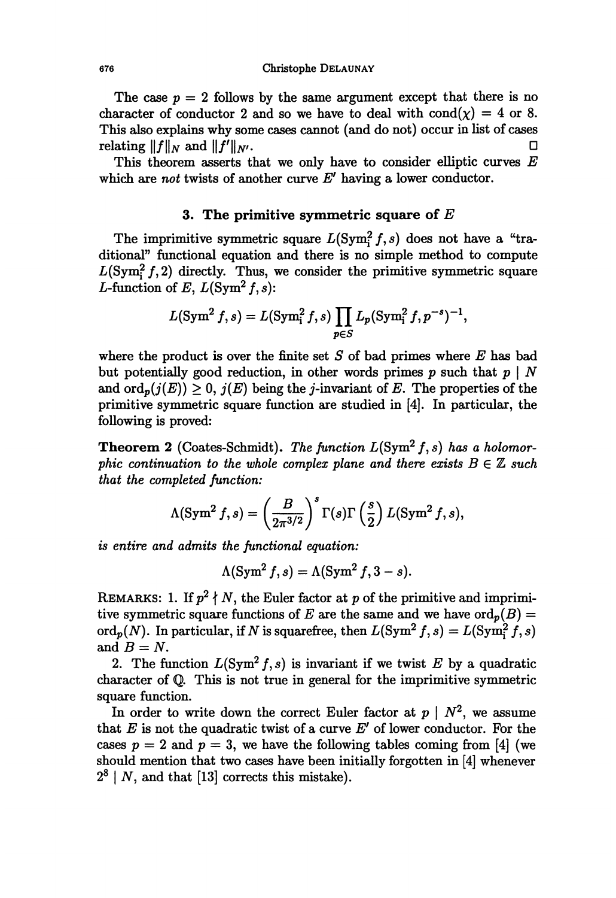The case  $p = 2$  follows by the same argument except that there is no character of conductor 2 and so we have to deal with  $\text{cond}(\chi) = 4$  or 8. This also explains why some cases cannot (and do not) occur in list of cases relating  $||f||_N$  and  $||f'||_{NL}$ . relating  $||f||_N$  and  $||f'||_{N'}$ .

This theorem asserts that we only have to consider elliptic curves  $E$ which are not twists of another curve  $E'$  having a lower conductor.

## 3. The primitive symmetric square of  $E$

The imprimitive symmetric square  $L(Sym_i^2 f, s)$  does not have a "traditional" functional equation and there is no simple method to compute  $L(Sym<sub>i</sub><sup>2</sup> f, 2)$  directly. Thus, we consider the primitive symmetric square L-function of E,  $L(Sym^2 f, s)$ :

$$
L(\text{Sym}^2 f, s) = L(\text{Sym}^2 f, s) \prod_{p \in S} L_p(\text{Sym}^2 f, p^{-s})^{-1},
$$

where the product is over the finite set  $S$  of bad primes where  $E$  has bad but potentially good reduction, in other words primes p such that  $p \mid N$ and  $\text{ord}_p(j(E)) \geq 0$ ,  $j(E)$  being the *j*-invariant of E. The properties of the primitive symmetric square function are studied in [4]. In particular, the following is proved:

**Theorem 2** (Coates-Schmidt). The function  $L(Sym^2 f, s)$  has a holomorphic continuation to the whole complex plane and there exists  $B \in \mathbb{Z}$  such that the completed function:

$$
\Lambda(\operatorname{Sym}^2 f, s) = \left(\frac{B}{2\pi^{3/2}}\right)^s \Gamma(s) \Gamma\left(\frac{s}{2}\right) L(\operatorname{Sym}^2 f, s),
$$

is entire and admits the functional equation:

$$
\Lambda(\operatorname{Sym}^2 f, s) = \Lambda(\operatorname{Sym}^2 f, 3 - s).
$$

REMARKS: 1. If  $p^2 \nmid N$ , the Euler factor at p of the primitive and imprimitive symmetric square functions of E are the same and we have  $\text{ord}_p(B) =$ ord<sub>p</sub> $(N)$ . In particular, if N is squarefree, then  $L(\text{Sym}^2 f, s) = L(\text{Sym}^2 f, s)$ and  $B = N$ .

2. The function  $L(\text{Sym}^2 f, s)$  is invariant if we twist E by a quadratic character of Q. This is not true in general for the imprimitive symmetric square function.

In order to write down the correct Euler factor at  $p \mid N^2$ , we assume that  $E$  is not the quadratic twist of a curve  $E'$  of lower conductor. For the cases  $p = 2$  and  $p = 3$ , we have the following tables coming from [4] (we should mention that two cases have been initially forgotten in [4] whenever  $2<sup>8</sup>$  | N, and that [13] corrects this mistake).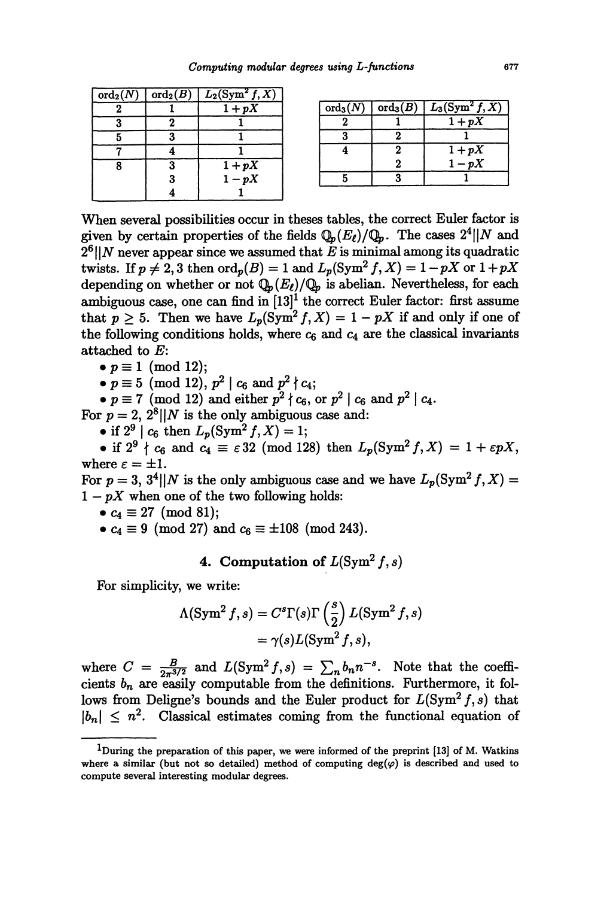| $\overline{\mathrm{ord}_2(N)}$ | $\operatorname{ord}_2(B)\mid$ | $L_2(Sym^2 f, X)$ |
|--------------------------------|-------------------------------|-------------------|
|                                |                               | $1+pX$            |
|                                |                               |                   |
| 5                              |                               |                   |
|                                |                               |                   |
| ጸ                              | 3                             | $1+pX$            |
|                                | 3                             | $1-pX$            |
|                                |                               |                   |

| $\mathrm{ord}_3(N)$ |   | $\operatorname{ord}_3(B) \mid L_3(\operatorname{Sym}^2 f, X)$ |
|---------------------|---|---------------------------------------------------------------|
|                     |   | $1+pX$                                                        |
|                     |   |                                                               |
|                     | 2 | $1+pX$                                                        |
|                     | 2 | $1-pX$                                                        |
|                     | ٩ |                                                               |

When several possibilities occur in theses tables, the correct Euler factor is given by certain properties of the fields  $\mathbb{Q}_p(E_\ell)/\mathbb{Q}_p$ . The cases  $2^4||N$  and  $2<sup>6</sup>$ ||N never appear since we assumed that E is minimal among its quadratic twists. If  $p \neq 2, 3$  then  $\text{ord}_p(B) = 1$  and  $L_p(\text{Sym}^2 f, X) = 1 - pX$  or  $1 + pX$ depending on whether or not  $\mathbb{Q}_p(E_\ell)/\mathbb{Q}_p$  is abelian. Nevertheless, for each ambiguous case, one can find in  $[13]^1$  the correct Euler factor: first assume that  $p \geq 5$ . Then we have  $L_p(\text{Sym}^2 f, X) = 1 - pX$  if and only if one of the following conditions holds, where  $c_6$  and  $c_4$  are the classical invariants attached to E:

 $\bullet$   $p \equiv 1 \pmod{12};$ 

•  $p \equiv 5 \pmod{12}$ ,  $p^2 | c_6$  and  $p^2 | c_4$ ;

 $\bullet$   $p \equiv 7 \pmod{12}$  and either  $p^2 \nmid c_6$ , or  $p^2 \mid c_6$  and  $p^2 \mid c_4$ .

For  $p = 2$ ,  $2^8 \mid N$  is the only ambiguous case and:

• if  $2^9 \mid c_6$  then  $L_p(\text{Sym}^2 f, X) = 1$ ;<br>• if  $2^9 \nmid c_6$  and  $c_4 \equiv \varepsilon 32 \pmod{128}$  then  $L_p(\text{Sym}^2 f, X) = 1 + \varepsilon pX$ , where  $\varepsilon = \pm 1$ .

For  $p = 3$ ,  $3^4 \parallel N$  is the only ambiguous case and we have  $L_p(\text{Sym}^2 f, X) =$  $1-pX$  when one of the two following holds:

•  $c_4 \equiv 27 \pmod{81};$ 

•  $c_4 \equiv 9 \pmod{27}$  and  $c_6 \equiv \pm 108 \pmod{243}$ .

# 4. Computation of  $L(Sym^2 f, s)$

For simplicity, we write:

$$
\Lambda(\operatorname{Sym}^2 f, s) = C^s \Gamma(s) \Gamma\left(\frac{s}{2}\right) L(\operatorname{Sym}^2 f, s)
$$
  
=  $\gamma(s) L(\operatorname{Sym}^2 f, s),$ 

where  $C = \frac{B}{2\pi^{3/2}}$  and  $L(\text{Sym}^2 f, s) = \sum_n b_n n^{-s}$ . Note that the coefficients  $b_n$  are easily computable from the definitions. Furthermore, it follows from Deligne's bounds and the Euler product for  $L(Sym^2 f, s)$  that  $|b_n| \leq n^2$ . Classical estimates coming from the functional equation of

 $1$ During the preparation of this paper, we were informed of the preprint [13] of M. Watkins where a similar (but not so detailed) method of computing  $deg(\varphi)$  is described and used to compute several interesting modular degrees.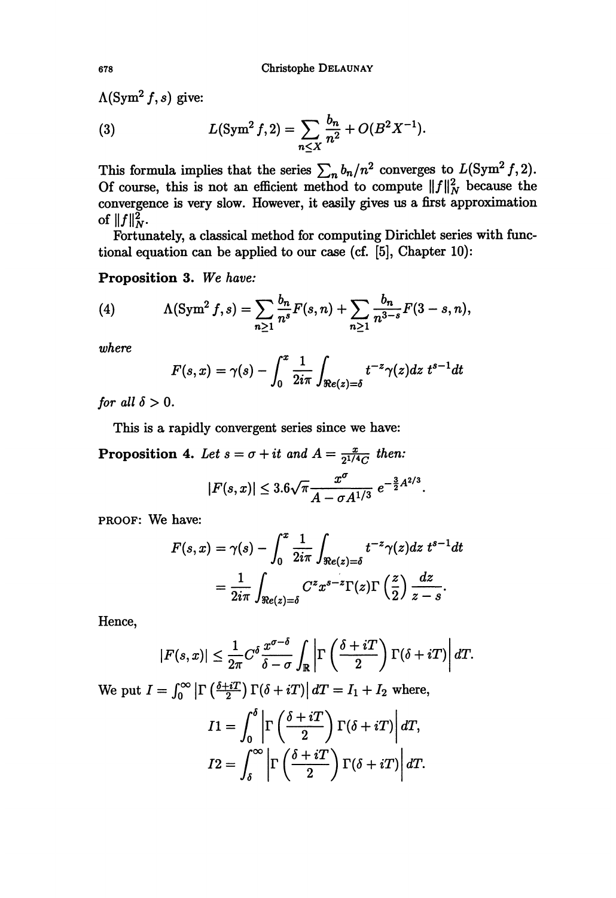$\Lambda$ (Sym<sup>2</sup> f, s) give:

(3) 
$$
L(\text{Sym}^2 f, 2) = \sum_{n \leq X} \frac{b_n}{n^2} + O(B^2 X^{-1}).
$$

This formula implies that the series  $\sum_{n} b_n/n^2$  converges to  $L(\text{Sym}^2 J, 2)$ . Of course, this is not an efficient method to compute  $||f||_N^2$  because the convergence is very slow. However, it easily gives us a first approximation of  $||f||_N^2$ .

Fortunately, a classical method for computing Dirichlet series with functional equation can be applied to our case (cf. [5], Chapter 10):

Proposition 3. We have:

(4) 
$$
\Lambda(\text{Sym}^2 f, s) = \sum_{n \geq 1} \frac{b_n}{n^s} F(s, n) + \sum_{n \geq 1} \frac{b_n}{n^{3-s}} F(3-s, n),
$$

where

$$
F(s,x) = \gamma(s) - \int_0^x \frac{1}{2i\pi} \int_{\Re e(z) = \delta} t^{-z} \gamma(z) dz \ t^{s-1} dt
$$

for all  $\delta>0$ .

This is a rapidly convergent series since we have:

**Proposition 4.** Let  $s = \sigma + it$  and  $A = \frac{x}{2^{1/4}C}$  then:

$$
|F(s,x)| \leq 3.6\sqrt{\pi} \frac{x^{\sigma}}{A - \sigma A^{1/3}} e^{-\frac{3}{2}A^{2/3}}
$$

.

PROOF: We have:

$$
F(s,x) = \gamma(s) - \int_0^x \frac{1}{2i\pi} \int_{\Re e(z) = \delta} t^{-z} \gamma(z) dz \ t^{s-1} dt
$$
  
= 
$$
\frac{1}{2i\pi} \int_{\Re e(z) = \delta} C^z x^{s-z} \Gamma(z) \Gamma\left(\frac{z}{2}\right) \frac{dz}{z-s}.
$$

Hence,

$$
|F(s,x)| \leq \frac{1}{2\pi} C^{\delta} \frac{x^{\sigma-\delta}}{\delta-\sigma} \int_{\mathbb{R}} \left| \Gamma\left(\frac{\delta+iT}{2}\right) \Gamma(\delta+iT) \right| dT.
$$

We put  $I = \int_0^\infty \left| \Gamma\left(\frac{\delta + iT}{2}\right) \Gamma(\delta + iT) \right| dT = I_1 + I_2$  where,

$$
I1 = \int_0^{\delta} \left| \Gamma\left(\frac{\delta + iT}{2}\right) \Gamma(\delta + iT) \right| dT,
$$
  

$$
I2 = \int_{\delta}^{\infty} \left| \Gamma\left(\frac{\delta + iT}{2}\right) \Gamma(\delta + iT) \right| dT.
$$

678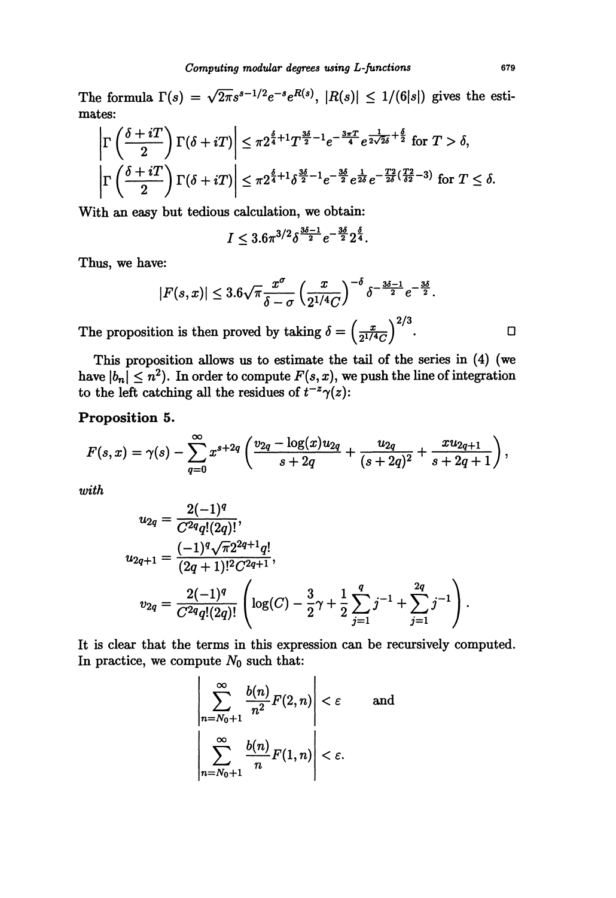The formula  $\Gamma(s) = \sqrt{2\pi s^{s-1/2}}e^{-s}e^{R(s)}$ ,  $|R(s)| \leq 1/(6|s|)$  gives the estimates:

$$
\left| \Gamma \left( \frac{\delta + iT}{2} \right) \Gamma (\delta + iT) \right| \leq \pi 2^{\frac{\delta}{4} + 1} T^{\frac{3\delta}{2} - 1} e^{-\frac{3\pi T}{4}} e^{\frac{1}{2\sqrt{2}\delta} + \frac{\delta}{2}} \text{ for } T > \delta,
$$
  

$$
\left| \Gamma \left( \frac{\delta + iT}{2} \right) \Gamma (\delta + iT) \right| \leq \pi 2^{\frac{\delta}{4} + 1} \delta^{\frac{3\delta}{2} - 1} e^{-\frac{3\delta}{2}} e^{\frac{1}{2\delta}} e^{-\frac{T^2}{2\delta} (\frac{T^2}{\delta^2} - 3)} \text{ for } T \leq \delta.
$$

With an easy but tedious calculation, we obtain:

$$
I \leq 3.6\pi^{3/2} \delta^{\frac{3\delta-1}{2}} e^{-\frac{3\delta}{2} 2^{\frac{\delta}{4}}}.
$$

Thus, we have:

$$
|F(s,x)| \leq 3.6\sqrt{\pi} \frac{x^{\sigma}}{\delta - \sigma} \left(\frac{x}{2^{1/4}C}\right)^{-\delta} \delta^{-\frac{3\delta - 1}{2}} e^{-\frac{3\delta}{2}}.
$$

The proposition is then proved by taking  $\delta = \left(\frac{x}{2^{1/4}C}\right)^{2/3}$ .

This proposition allows us to estimate the tail of the series in (4) (we have  $|b_n| \leq n^2$ . In order to compute  $F(s, x)$ , we push the line of integration to the left catching all the residues of  $t^{-z}\gamma(z)$ :

## Proposition 5.

$$
F(s,x)=\gamma(s)-\sum_{q=0}^{\infty}x^{s+2q}\left(\frac{v_{2q}-\log(x)u_{2q}}{s+2q}+\frac{u_{2q}}{(s+2q)^2}+\frac{xu_{2q+1}}{s+2q+1}\right),
$$

with

$$
u_{2q} = \frac{2(-1)^q}{C^{2q}q!(2q)!},
$$
  
\n
$$
u_{2q+1} = \frac{(-1)^q \sqrt{\pi} 2^{2q+1} q!}{(2q+1)!^2 C^{2q+1}},
$$
  
\n
$$
v_{2q} = \frac{2(-1)^q}{C^{2q}q!(2q)!} \left( \log(C) - \frac{3}{2}\gamma + \frac{1}{2} \sum_{j=1}^q j^{-1} + \sum_{j=1}^{2q} j^{-1} \right).
$$

It is clear that the terms in this expression can be recursively computed. In practice, we compute  $N_0$  such that:

$$
\left|\sum_{n=N_0+1}^{\infty} \frac{b(n)}{n^2} F(2, n)\right| < \varepsilon \quad \text{and} \quad \left|\sum_{n=N_0+1}^{\infty} \frac{b(n)}{n} F(1, n)\right| < \varepsilon.
$$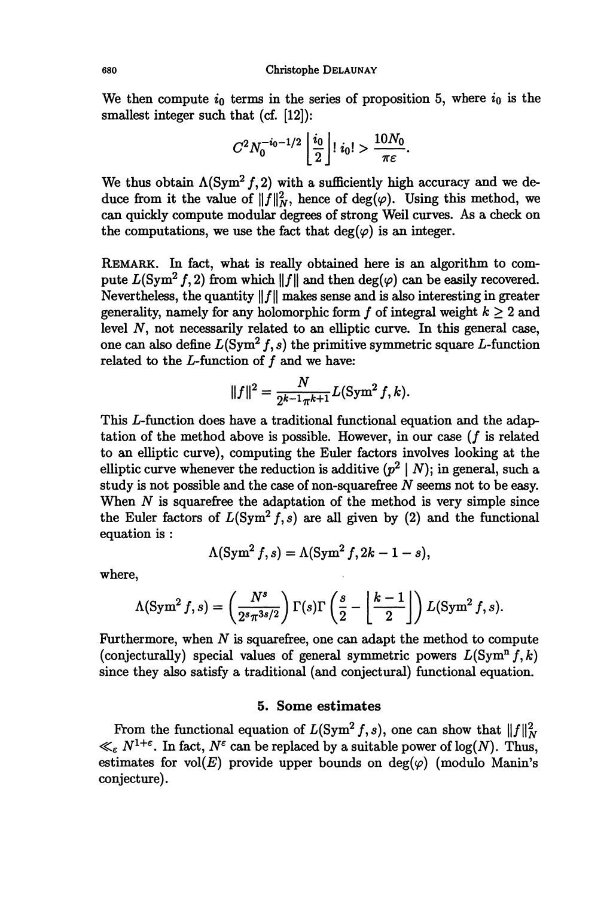We then compute  $i_0$  terms in the series of proposition 5, where  $i_0$  is the smallest integer such that (cf. [12]):

$$
C^2 N_0^{-i_0-1/2} \left\lfloor \frac{i_0}{2} \right\rfloor! i_0! > \frac{10 N_0}{\pi \varepsilon}
$$

We thus obtain  $\Lambda(\text{Sym}^2 f, 2)$  with a sufficiently high accuracy and we deduce from it the value of  $||f||_N^2$ , hence of deg( $\varphi$ ). Using this method, we can quickly compute modular degrees of strong Weil curves. As a check on the computations, we use the fact that  $deg(\varphi)$  is an integer.

REMARK. In fact, what is really obtained here is an algorithm to compute  $L(\text{Sym}^2 f, 2)$  from which  $||f||$  and then  $deg(\varphi)$  can be easily recovered. Nevertheless, the quantity  $||f||$  makes sense and is also interesting in greater generality, namely for any holomorphic form f of integral weight  $k \geq 2$  and level N, not necessarily related to an elliptic curve. In this general case, one can also define  $L(Sym^2 f, s)$  the primitive symmetric square L-function related to the  $L$ -function of  $f$  and we have:

$$
||f||^2 = \frac{N}{2^{k-1}\pi^{k+1}}L(\text{Sym}^2 f, k).
$$

This L-function does have a traditional functional equation and the adaptation of the method above is possible. However, in our case  $(f$  is related to an elliptic curve), computing the Euler factors involves looking at the elliptic curve whenever the reduction is additive  $(p^2 | N)$ ; in general, such a study is not possible and the case of non-squarefree N seems not to be easy. When  $N$  is squarefree the adaptation of the method is very simple since the Euler factors of  $L(Sym^2 f, s)$  are all given by (2) and the functional equation is :

$$
\Lambda(\operatorname{Sym}^2 f, s) = \Lambda(\operatorname{Sym}^2 f, 2k - 1 - s),
$$

where,

$$
\Lambda(\operatorname{Sym}^2 f, s) = \left(\frac{N^s}{2^s \pi^{3s/2}}\right) \Gamma(s) \Gamma\left(\frac{s}{2} - \left\lfloor \frac{k-1}{2} \right\rfloor\right) L(\operatorname{Sym}^2 f, s).
$$

Furthermore, when  $N$  is squarefree, one can adapt the method to compute (conjecturally) special values of general symmetric powers  $L(Sym<sup>n</sup> f, k)$ since they also satisfy a traditional (and conjectural) functional equation.

## 5. Some estimates

From the functional equation of  $L(Sym^2 f, s)$ , one can show that  $||f||_N^2$  $\ll_{\varepsilon} N^{1+\varepsilon}$ . In fact,  $N^{\varepsilon}$  can be replaced by a suitable power of log(N). Thus, estimates for vol(E) provide upper bounds on deg( $\varphi$ ) (modulo Manin's conjecture).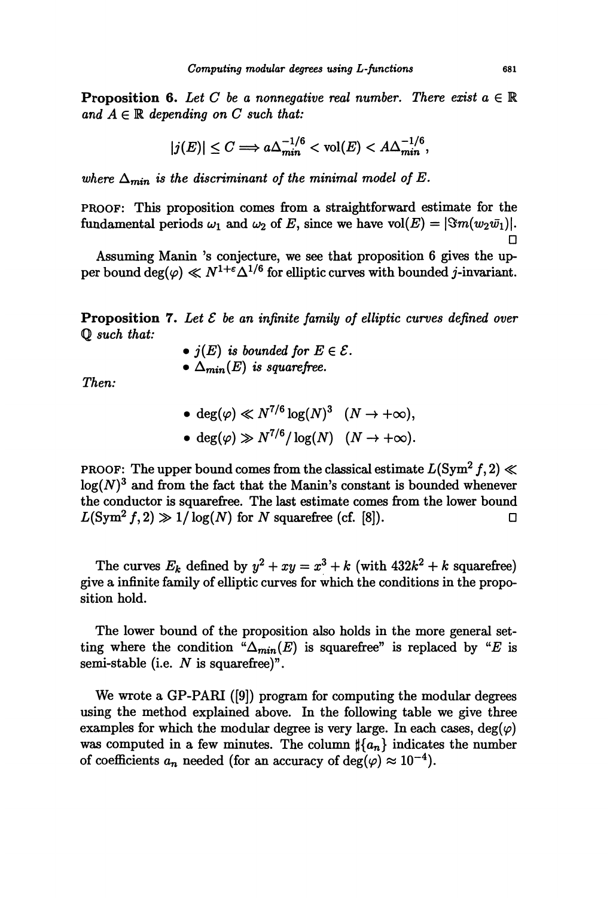**Proposition 6.** Let C be a nonnegative real number. There exist  $a \in \mathbb{R}$ and  $A \in \mathbb{R}$  depending on C such that:

$$
|j(E)| \leq C \Longrightarrow a\Delta_{min}^{-1/6} < \text{vol}(E) < A\Delta_{min}^{-1/6},
$$

where  $\Delta_{min}$  is the discriminant of the minimal model of E.

PROOF: This proposition comes from a straightforward estimate for the fundamental periods  $\omega_1$  and  $\omega_2$  of E, since we have vol(E) =  $|\Im m(w_2\bar{w_1})|$ .  $\Box$ 

Assuming Manin 's conjecture, we see that proposition 6 gives the upper bound  $\deg(\varphi) \ll N^{1+\epsilon} \Delta^{1/6}$  for elliptic curves with bounded j-invariant.

**Proposition 7.** Let  $\mathcal E$  be an infinite family of elliptic curves defined over Q such that:

- $\bullet$   $j(E)$  is bounded for  $E \in \mathcal{E}$ .
- $\bullet$   $\Delta_{min}(E)$  is squarefree.

Then:

•  $\deg(\varphi) \ll N^{7/6} \log(N)^3 \quad (N \to +\infty),$ •  $\deg(\varphi) \gg N^{7/6} / \log(N) \quad (N \to +\infty).$ 

PROOF: The upper bound comes from the classical estimate  $L(Sym^2 f, 2) \ll$  $log(N)^3$  and from the fact that the Manin's constant is bounded whenever the conductor is squaxefree. The last estimate comes from the lower bound  $L(\text{Sym}^2 f, 2) \gg 1/\log(N)$  for N squarefree (cf. [8]).

The curves  $E_k$  defined by  $y^2 + xy = x^3 + k$  (with  $432k^2 + k$  squarefree) give a infinite family of elliptic curves for which the conditions in the proposition hold.

The lower bound of the proposition also holds in the more general setting where the condition " $\Delta_{min}(E)$  is squarefree" is replaced by "E is semi-stable (i.e.  $N$  is squarefree)".

We wrote a GP-PARI ([9]) program for computing the modular degrees using the method explained above. In the following table we give three examples for which the modular degree is very large. In each cases,  $deg(\varphi)$ was computed in a few minutes. The column  $\sharp\{a_n\}$  indicates the number of coefficients  $a_n$  needed (for an accuracy of  $\deg(\varphi) \approx 10^{-4}$ ).